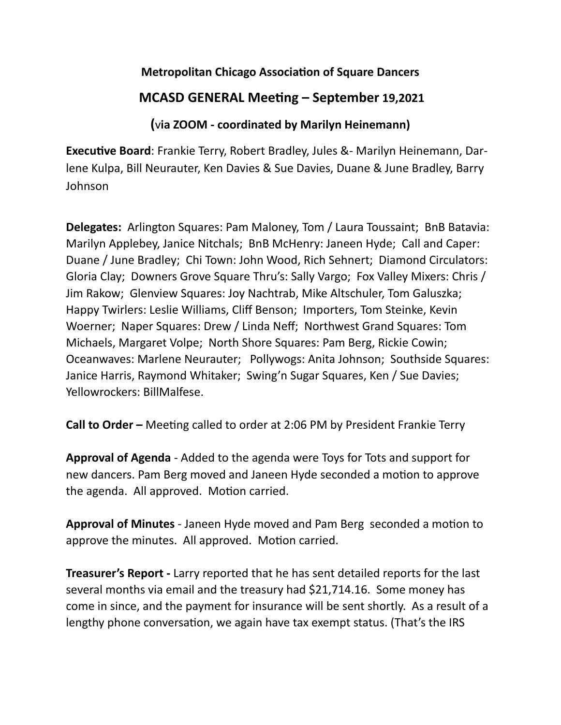## **Metropolitan Chicago Association of Square Dancers**

## **MCASD GENERAL Meeting – September 19,2021**

## **(**v**ia ZOOM - coordinated by Marilyn Heinemann)**

**Executive Board**: Frankie Terry, Robert Bradley, Jules &- Marilyn Heinemann, Darlene Kulpa, Bill Neurauter, Ken Davies & Sue Davies, Duane & June Bradley, Barry Johnson

**Delegates:** Arlington Squares: Pam Maloney, Tom / Laura Toussaint; BnB Batavia: Marilyn Applebey, Janice Nitchals; BnB McHenry: Janeen Hyde; Call and Caper: Duane / June Bradley; Chi Town: John Wood, Rich Sehnert; Diamond Circulators: Gloria Clay; Downers Grove Square Thru's: Sally Vargo; Fox Valley Mixers: Chris / Jim Rakow; Glenview Squares: Joy Nachtrab, Mike Altschuler, Tom Galuszka; Happy Twirlers: Leslie Williams, Cliff Benson; Importers, Tom Steinke, Kevin Woerner; Naper Squares: Drew / Linda Neff; Northwest Grand Squares: Tom Michaels, Margaret Volpe; North Shore Squares: Pam Berg, Rickie Cowin; Oceanwaves: Marlene Neurauter; Pollywogs: Anita Johnson; Southside Squares: Janice Harris, Raymond Whitaker; Swing'n Sugar Squares, Ken / Sue Davies; Yellowrockers: BillMalfese.

**Call to Order –** Meeting called to order at 2:06 PM by President Frankie Terry

**Approval of Agenda** - Added to the agenda were Toys for Tots and support for new dancers. Pam Berg moved and Janeen Hyde seconded a motion to approve the agenda. All approved. Motion carried.

**Approval of Minutes** - Janeen Hyde moved and Pam Berg seconded a motion to approve the minutes. All approved. Motion carried.

**Treasurer's Report -** Larry reported that he has sent detailed reports for the last several months via email and the treasury had \$21,714.16. Some money has come in since, and the payment for insurance will be sent shortly. As a result of a lengthy phone conversation, we again have tax exempt status. (That's the IRS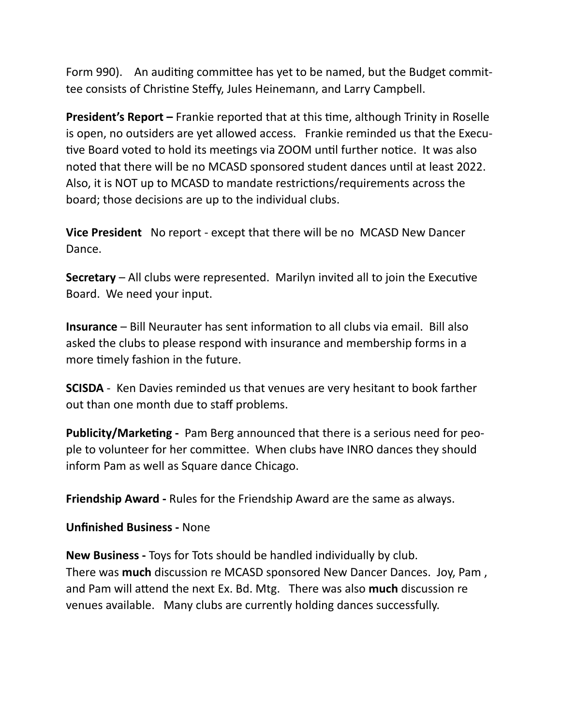Form 990). An auditing committee has yet to be named, but the Budget committee consists of Christine Steffy, Jules Heinemann, and Larry Campbell.

**President's Report –** Frankie reported that at this time, although Trinity in Roselle is open, no outsiders are yet allowed access. Frankie reminded us that the Executive Board voted to hold its meetings via ZOOM until further notice. It was also noted that there will be no MCASD sponsored student dances until at least 2022. Also, it is NOT up to MCASD to mandate restrictions/requirements across the board; those decisions are up to the individual clubs.

**Vice President** No report - except that there will be no MCASD New Dancer Dance.

**Secretary** – All clubs were represented. Marilyn invited all to join the Executive Board. We need your input.

**Insurance** – Bill Neurauter has sent information to all clubs via email. Bill also asked the clubs to please respond with insurance and membership forms in a more timely fashion in the future.

**SCISDA** - Ken Davies reminded us that venues are very hesitant to book farther out than one month due to staff problems.

**Publicity/Marketing -** Pam Berg announced that there is a serious need for people to volunteer for her committee. When clubs have INRO dances they should inform Pam as well as Square dance Chicago.

**Friendship Award -** Rules for the Friendship Award are the same as always.

**Unfinished Business -** None

**New Business -** Toys for Tots should be handled individually by club. There was **much** discussion re MCASD sponsored New Dancer Dances. Joy, Pam , and Pam will attend the next Ex. Bd. Mtg. There was also **much** discussion re venues available. Many clubs are currently holding dances successfully.